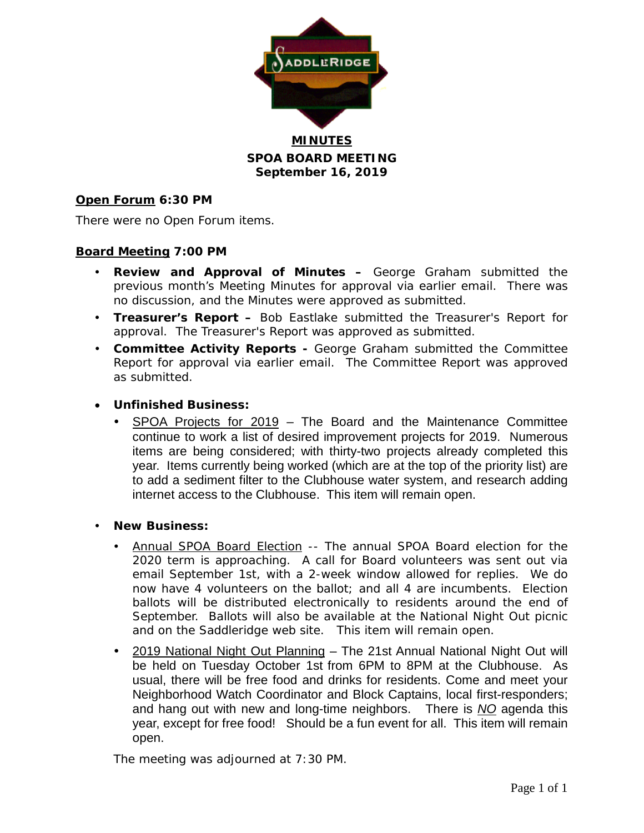

**MINUTES SPOA BOARD MEETING September 16, 2019**

### **Open Forum 6:30 PM**

There were no Open Forum items.

### **Board Meeting 7:00 PM**

- **Review and Approval of Minutes –** George Graham submitted the previous month's Meeting Minutes for approval via earlier email. There was no discussion, and the Minutes were approved as submitted.
- **Treasurer's Report –** Bob Eastlake submitted the Treasurer's Report for approval. The Treasurer's Report was approved as submitted.
- **Committee Activity Reports -** George Graham submitted the Committee Report for approval via earlier email. The Committee Report was approved as submitted.

### • **Unfinished Business:**

- SPOA Projects for 2019 The Board and the Maintenance Committee continue to work a list of desired improvement projects for 2019. Numerous items are being considered; with thirty-two projects already completed this year. Items currently being worked (which are at the top of the priority list) are to add a sediment filter to the Clubhouse water system, and research adding internet access to the Clubhouse. This item will remain open.
- **New Business:**
	- Annual SPOA Board Election -- The annual SPOA Board election for the 2020 term is approaching. A call for Board volunteers was sent out via email September 1st, with a 2-week window allowed for replies. We do now have 4 volunteers on the ballot; and all 4 are incumbents. Election ballots will be distributed electronically to residents around the end of September. Ballots will also be available at the National Night Out picnic and on the Saddleridge web site. This item will remain open.
	- 2019 National Night Out Planning The 21st Annual National Night Out will be held on Tuesday October 1st from 6PM to 8PM at the Clubhouse. As usual, there will be free food and drinks for residents. Come and meet your Neighborhood Watch Coordinator and Block Captains, local first-responders; and hang out with new and long-time neighbors. There is *NO* agenda this year, except for free food! Should be a fun event for all. This item will remain open.

The meeting was adjourned at 7:30 PM.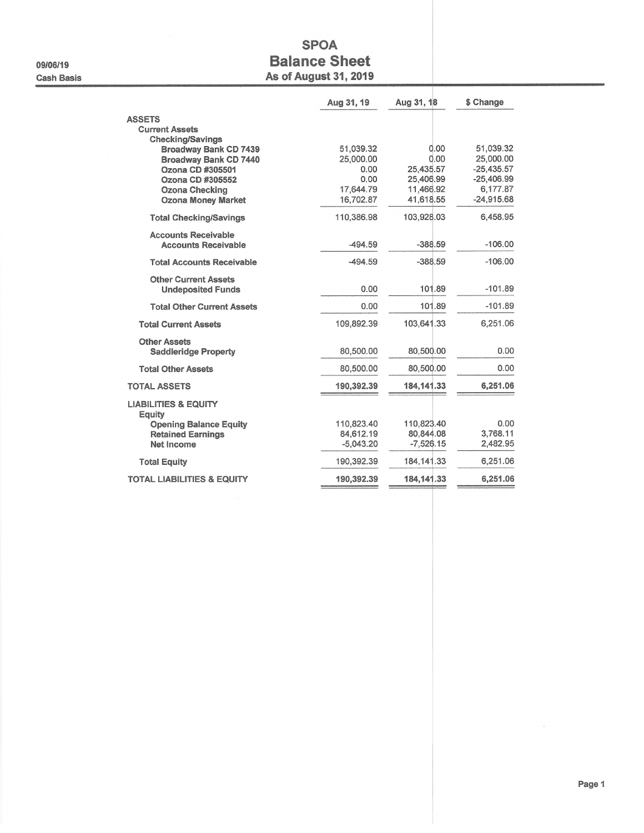09/06/19 **Cash Basis** 

## **SPOA Balance Sheet As of August 31, 2019**

|                                                                                                      | Aug 31, 19                             | Aug 31, 18                             | \$ Change                                              |
|------------------------------------------------------------------------------------------------------|----------------------------------------|----------------------------------------|--------------------------------------------------------|
| <b>ASSETS</b><br><b>Current Assets</b><br><b>Checking/Savings</b>                                    |                                        |                                        |                                                        |
| <b>Broadway Bank CD 7439</b><br><b>Broadway Bank CD 7440</b><br>Ozona CD #305501<br>Ozona CD #305552 | 51,039.32<br>25,000.00<br>0.00<br>0.00 | 0.00<br>0.00<br>25.435.57<br>25,406.99 | 51,039.32<br>25,000.00<br>$-25,435.57$<br>$-25,406.99$ |
| Ozona Checking<br><b>Ozona Money Market</b>                                                          | 17,644.79<br>16,702.87                 | 11,466.92<br>41,618.55                 | 6,177.87<br>$-24.915.68$                               |
| <b>Total Checking/Savings</b>                                                                        | 110,386.98                             | 103,928.03                             | 6,458.95                                               |
| <b>Accounts Receivable</b><br><b>Accounts Receivable</b>                                             | -494.59                                | $-388.59$                              | $-106.00$                                              |
| <b>Total Accounts Receivable</b>                                                                     | $-494.59$                              | $-388.59$                              | $-106.00$                                              |
| <b>Other Current Assets</b><br><b>Undeposited Funds</b>                                              | 0.00                                   | 101.89                                 | $-101.89$                                              |
| <b>Total Other Current Assets</b>                                                                    | 0.00                                   | 101.89                                 | $-101.89$                                              |
| <b>Total Current Assets</b>                                                                          | 109.892.39                             | 103,641.33                             | 6,251.06                                               |
| <b>Other Assets</b><br><b>Saddleridge Property</b>                                                   | 80,500.00                              | 80,500.00                              | 0.00                                                   |
| <b>Total Other Assets</b>                                                                            | 80,500.00                              | 80,500.00                              | 0.00                                                   |
| <b>TOTAL ASSETS</b>                                                                                  | 190,392.39                             | 184, 141. 33                           | 6,251.06                                               |
| <b>LIABILITIES &amp; EQUITY</b><br>Equity                                                            |                                        |                                        |                                                        |
| <b>Opening Balance Equity</b><br><b>Retained Earnings</b><br>Net Income                              | 110,823.40<br>84,612.19<br>$-5,043.20$ | 110.823.40<br>80,844.08<br>$-7,526.15$ | 0.00<br>3,768.11<br>2,482.95                           |
| <b>Total Equity</b>                                                                                  | 190,392.39                             | 184, 141. 33                           | 6,251.06                                               |
| <b>TOTAL LIABILITIES &amp; EQUITY</b>                                                                | 190,392.39                             | 184, 141. 33                           | 6,251.06                                               |

 $\bar{\mathbf{x}}$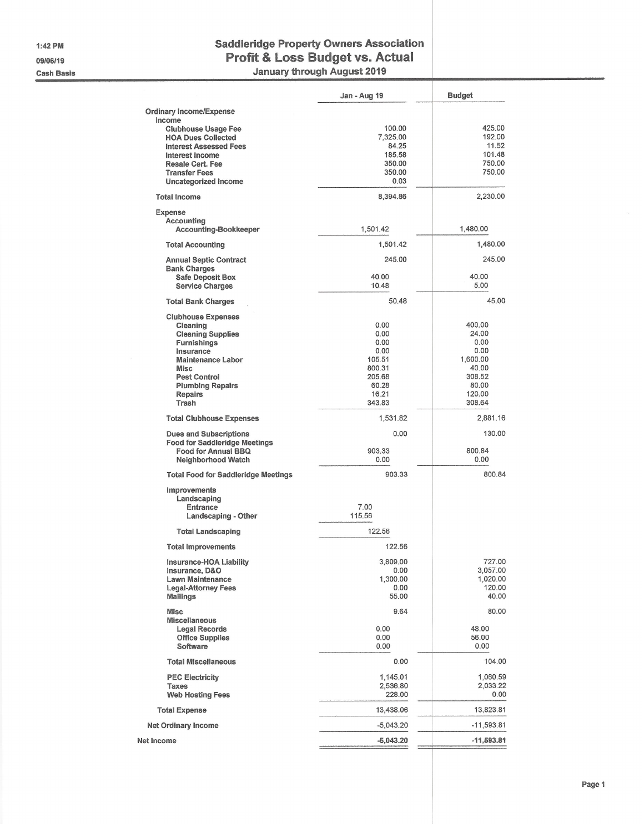1:42 PM 09/06/19 **Cash Basis** 

# **Saddleridge Property Owners Association** Profit & Loss Budget vs. Actual

January through August 2019

|                                                                        | Jan - Aug 19     | <b>Budget</b>      |
|------------------------------------------------------------------------|------------------|--------------------|
| <b>Ordinary Income/Expense</b><br>Income<br><b>Clubhouse Usage Fee</b> | 100.00           | 425.00             |
| <b>HOA Dues Collected</b>                                              | 7,325.00         | 192.00             |
| <b>Interest Assessed Fees</b>                                          | 84.25            | 11.52<br>101.48    |
| <b>Interest Income</b><br><b>Resale Cert. Fee</b>                      | 185.58<br>350.00 | 750.00             |
| <b>Transfer Fees</b>                                                   | 350.00           | 750.00             |
| Uncategorized Income                                                   | 0.03             |                    |
| <b>Total Income</b>                                                    | 8,394.86         | 2,230.00           |
| <b>Expense</b>                                                         |                  |                    |
| Accounting                                                             | 1,501.42         | 1,480.00           |
| <b>Accounting-Bookkeeper</b>                                           |                  |                    |
| <b>Total Accounting</b>                                                | 1,501.42         | 1,480.00           |
| <b>Annual Septic Contract</b><br><b>Bank Charges</b>                   | 245.00           | 245.00             |
| <b>Safe Deposit Box</b>                                                | 40.00            | 40.00              |
| <b>Service Charges</b>                                                 | 10.48            | 5.00               |
| <b>Total Bank Charges</b>                                              | 50.48            | 45.00              |
| <b>Clubhouse Expenses</b>                                              |                  |                    |
| Cleaning                                                               | 0.00<br>0.00     | 400.00<br>24.00    |
| <b>Cleaning Supplies</b><br><b>Furnishings</b>                         | 0.00             | 0.00               |
| Insurance                                                              | 0.00             | 0.00               |
| <b>Maintenance Labor</b>                                               | 105.51           | 1,600.00           |
| <b>Misc</b>                                                            | 800.31           | 40.00              |
| <b>Pest Control</b>                                                    | 205.68<br>60.28  | 308.52<br>80.00    |
| <b>Plumbing Repairs</b><br><b>Repairs</b>                              | 16.21            | 120.00             |
| Trash                                                                  | 343.83           | 308.64             |
| <b>Total Clubhouse Expenses</b>                                        | 1,531.82         | 2,881.16           |
| <b>Dues and Subscriptions</b>                                          | 0.00             | 130.00             |
| <b>Food for Saddleridge Meetings</b><br>Food for Annual BBQ            | 903.33           | 800.84             |
| <b>Neighborhood Watch</b>                                              | 0.00             | 0.00               |
| <b>Total Food for Saddleridge Meetings</b>                             | 903.33           | 800.84             |
| Improvements                                                           |                  |                    |
| Landscaping<br><b>Entrance</b>                                         | 7.00             |                    |
| Landscaping - Other                                                    | 115.56           |                    |
| <b>Total Landscaping</b>                                               | 122.56           |                    |
| <b>Total Improvements</b>                                              | 122.56           |                    |
| Insurance-HOA Liability                                                | 3,809.00         | 727.00             |
| Insurance, D&O                                                         | 0.00             | 3,057.00           |
| <b>Lawn Maintenance</b><br><b>Legal-Attorney Fees</b>                  | 1,300.00<br>0.00 | 1,020.00<br>120.00 |
| <b>Mailings</b>                                                        | 55.00            | 40.00              |
| <b>Misc</b>                                                            | 9.64             | 80.00              |
| <b>Miscellaneous</b>                                                   | 0.00             | 48.00              |
| <b>Legal Records</b><br><b>Office Supplies</b>                         | 0.00             | 56.00              |
| Software                                                               | 0.00             | 0.00               |
| <b>Total Miscellaneous</b>                                             | 0.00             | 104.00             |
| <b>PEC Electricity</b>                                                 | 1,145.01         | 1,060.59           |
| <b>Taxes</b>                                                           | 2,536.80         | 2,033.22           |
| <b>Web Hosting Fees</b>                                                | 228.00           | 0.00               |
| <b>Total Expense</b>                                                   | 13,438.06        | 13,823.81          |
| <b>Net Ordinary Income</b>                                             | $-5,043.20$      | $-11,593.81$       |
| Net Income                                                             | $-5,043.20$      | $-11,593.81$       |